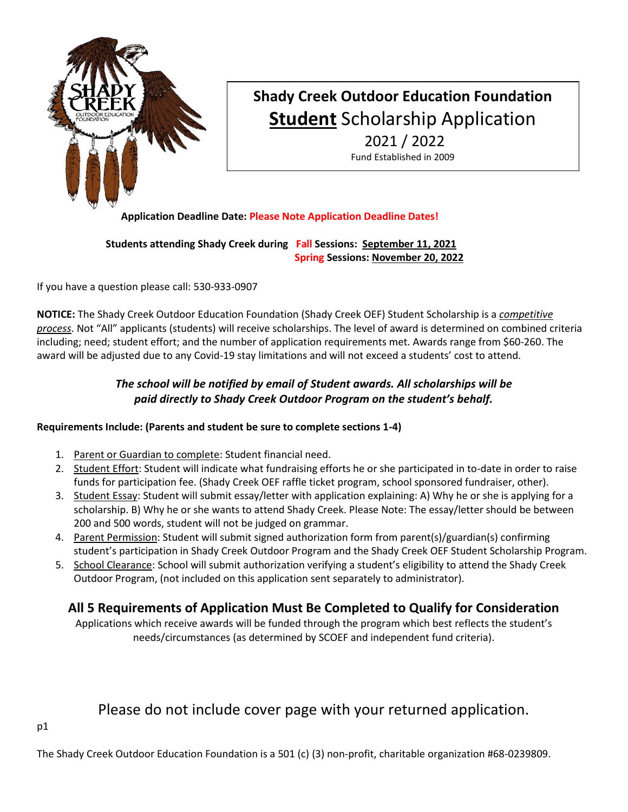

# **Shady Creek Outdoor Education Foundation Student** Scholarship Application 2021 / 2022

Fund Established in 2009

### **Application Deadline Date: Please Note Application Deadline Dates!**

 **Students attending Shady Creek during Fall Sessions: September 11, 2021 Spring Sessions: November 20, 2022**

If you have a question please call: 530-933-0907

**NOTICE:** The Shady Creek Outdoor Education Foundation (Shady Creek OEF) Student Scholarship is a *competitive process*. Not "All" applicants (students) will receive scholarships. The level of award is determined on combined criteria including; need; student effort; and the number of application requirements met. Awards range from \$60-260. The award will be adjusted due to any Covid-19 stay limitations and will not exceed a students' cost to attend.

# *The school will be notified by email of Student awards. All scholarships will be paid directly to Shady Creek Outdoor Program on the student's behalf.*

### **Requirements Include: (Parents and student be sure to complete sections 1-4)**

- 1. Parent or Guardian to complete: Student financial need.
- 2. Student Effort: Student will indicate what fundraising efforts he or she participated in to-date in order to raise funds for participation fee. (Shady Creek OEF raffle ticket program, school sponsored fundraiser, other).
- 3. Student Essay: Student will submit essay/letter with application explaining: A) Why he or she is applying for a scholarship. B) Why he or she wants to attend Shady Creek. Please Note: The essay/letter should be between 200 and 500 words, student will not be judged on grammar.
- 4. Parent Permission: Student will submit signed authorization form from parent(s)/guardian(s) confirming student's participation in Shady Creek Outdoor Program and the Shady Creek OEF Student Scholarship Program.
- 5. School Clearance: School will submit authorization verifying a student's eligibility to attend the Shady Creek Outdoor Program, (not included on this application sent separately to administrator).

# **All 5 Requirements of Application Must Be Completed to Qualify for Consideration**

Applications which receive awards will be funded through the program which best reflects the student's needs/circumstances (as determined by SCOEF and independent fund criteria).

# Please do not include cover page with your returned application.

The Shady Creek Outdoor Education Foundation is a 501 (c) (3) non-profit, charitable organization #68-0239809.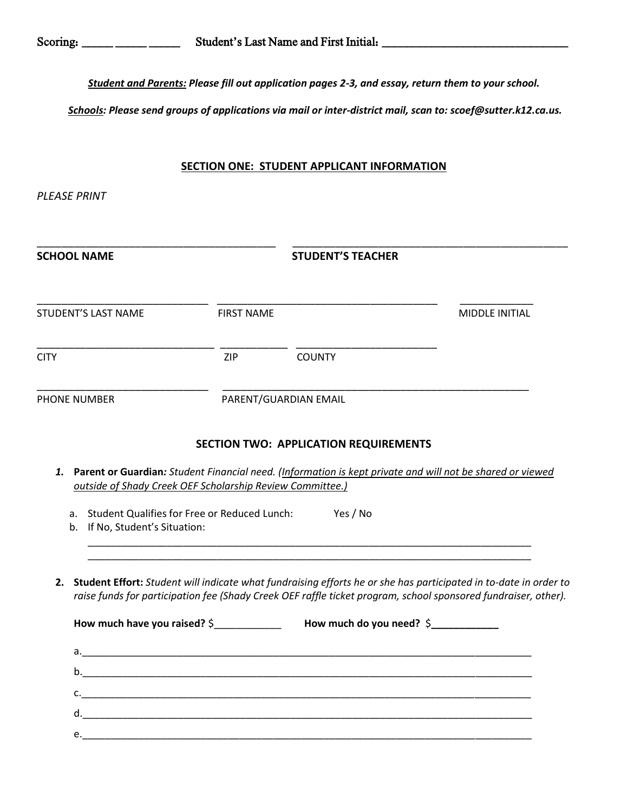*Student and Parents: Please fill out application pages 2-3, and essay, return them to your school.*

*Schools: Please send groups of applications via mail or inter-district mail, scan to: scoef@sutter.k12.ca.us.*

#### **SECTION ONE: STUDENT APPLICANT INFORMATION**

*PLEASE PRINT* 

| <b>SCHOOL NAME</b>                                                                                                                                            |                       | <b>STUDENT'S TEACHER</b>                                                           |                                                                                                                                                                                                                                    |
|---------------------------------------------------------------------------------------------------------------------------------------------------------------|-----------------------|------------------------------------------------------------------------------------|------------------------------------------------------------------------------------------------------------------------------------------------------------------------------------------------------------------------------------|
| <b>STUDENT'S LAST NAME</b>                                                                                                                                    | <b>FIRST NAME</b>     |                                                                                    | MIDDLE INITIAL                                                                                                                                                                                                                     |
| <b>CITY</b>                                                                                                                                                   | ZIP                   | <b>COUNTY</b>                                                                      |                                                                                                                                                                                                                                    |
| <b>PHONE NUMBER</b>                                                                                                                                           | PARENT/GUARDIAN EMAIL |                                                                                    |                                                                                                                                                                                                                                    |
| 1.<br>outside of Shady Creek OEF Scholarship Review Committee.)<br>a. Student Qualifies for Free or Reduced Lunch: Yes / No<br>b. If No, Student's Situation: |                       | <b>SECTION TWO: APPLICATION REQUIREMENTS</b>                                       | Parent or Guardian: Student Financial need. (Information is kept private and will not be shared or viewed                                                                                                                          |
|                                                                                                                                                               |                       |                                                                                    |                                                                                                                                                                                                                                    |
| 2.                                                                                                                                                            |                       | How much have you raised? \$_________________ How much do you need? \$____________ | Student Effort: Student will indicate what fundraising efforts he or she has participated in to-date in order to<br>raise funds for participation fee (Shady Creek OEF raffle ticket program, school sponsored fundraiser, other). |
|                                                                                                                                                               |                       |                                                                                    |                                                                                                                                                                                                                                    |
|                                                                                                                                                               |                       |                                                                                    |                                                                                                                                                                                                                                    |